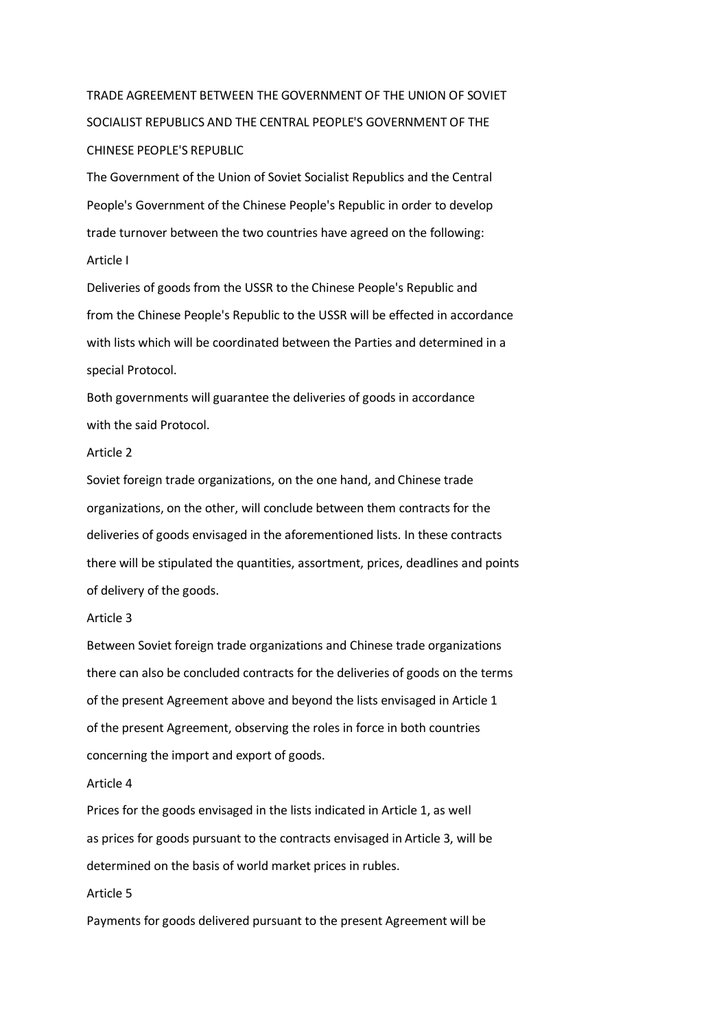# TRADE AGREEMENT BETWEEN THE GOVERNMENT OF THE UNION OF SOVIET SOCIALIST REPUBLICS AND THE CENTRAL PEOPLE'S GOVERNMENT OF THE CHINESE PEOPLE'S REPUBLIC

The Government of the Union of Soviet Socialist Republics and the Central People's Government of the Chinese People's Republic in order to develop trade turnover between the two countries have agreed on the following:

## Article I

Deliveries of goods from the USSR to the Chinese People's Republic and from the Chinese People's Republic to the USSR will be effected in accordance with lists which will be coordinated between the Parties and determined in a special Protocol.

Both governments will guarantee the deliveries of goods in accordance with the said Protocol.

### Article 2

Soviet foreign trade organizations, on the one hand, and Chinese trade organizations, on the other, will conclude between them contracts for the deliveries of goods envisaged in the aforementioned lists. In these contracts there will be stipulated the quantities, assortment, prices, deadlines and points of delivery of the goods.

## Article 3

Between Soviet foreign trade organizations and Chinese trade organizations there can also be concluded contracts for the deliveries of goods on the terms of the present Agreement above and beyond the lists envisaged in Article 1 of the present Agreement, observing the roles in force in both countries concerning the import and export of goods.

#### Article 4

Prices for the goods envisaged in the lists indicated in Article 1, as weIl as prices for goods pursuant to the contracts envisaged in Article 3, will be determined on the basis of world market prices in rubles.

## Article 5

Payments for goods delivered pursuant to the present Agreement will be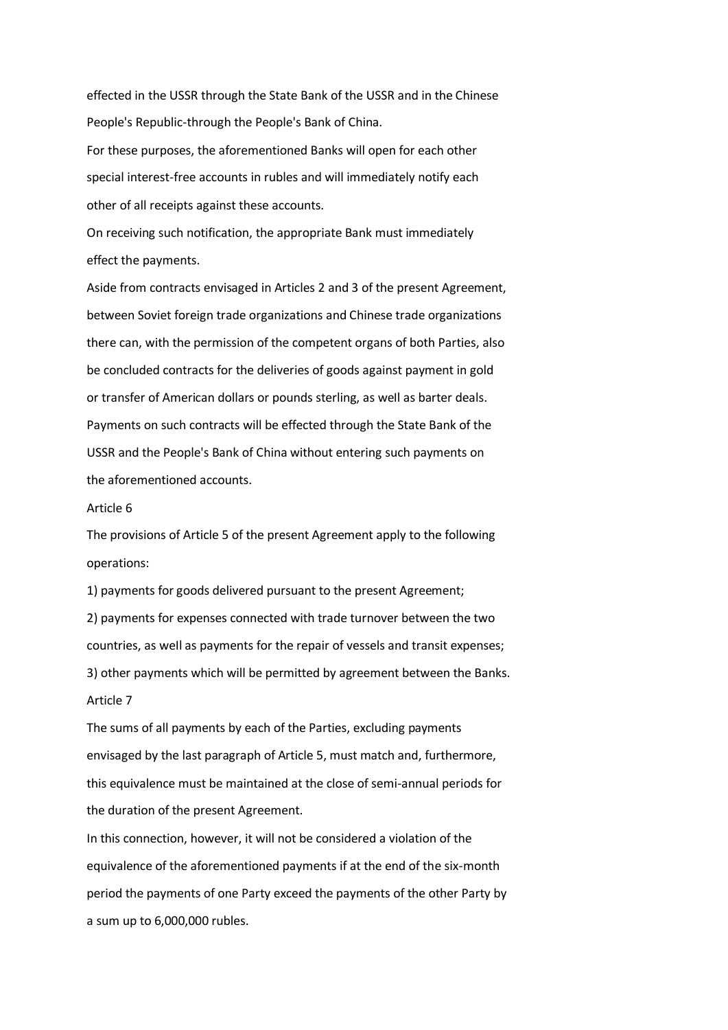effected in the USSR through the State Bank of the USSR and in the Chinese People's Republic-through the People's Bank of China.

For these purposes, the aforementioned Banks will open for each other special interest-free accounts in rubles and will immediately notify each other of all receipts against these accounts.

On receiving such notification, the appropriate Bank must immediately effect the payments.

Aside from contracts envisaged in Articles 2 and 3 of the present Agreement, between Soviet foreign trade organizations and Chinese trade organizations there can, with the permission of the competent organs of both Parties, also be concluded contracts for the deliveries of goods against payment in gold or transfer of American dollars or pounds sterling, as weIl as barter deals. Payments on such contracts will be effected through the State Bank of the USSR and the People's Bank of China without entering such payments on the aforementioned accounts.

#### Article 6

The provisions of Article 5 of the present Agreement apply to the following operations:

1) payments for goods delivered pursuant to the present Agreement; 2) payments for expenses connected with trade turnover between the two countries, as weIl as payments for the repair of vessels and transit expenses; 3) other payments which will be permitted by agreement between the Banks. Article 7

The sums of all payments by each of the Parties, excluding payments envisaged by the last paragraph of Article 5, must match and, furthermore, this equivalence must be maintained at the close of semi-annual periods for the duration of the present Agreement.

In this connection, however, it will not be considered a violation of the equivalence of the aforementioned payments if at the end of the six-month period the payments of one Party exceed the payments of the other Party by a sum up to 6,000,000 rubles.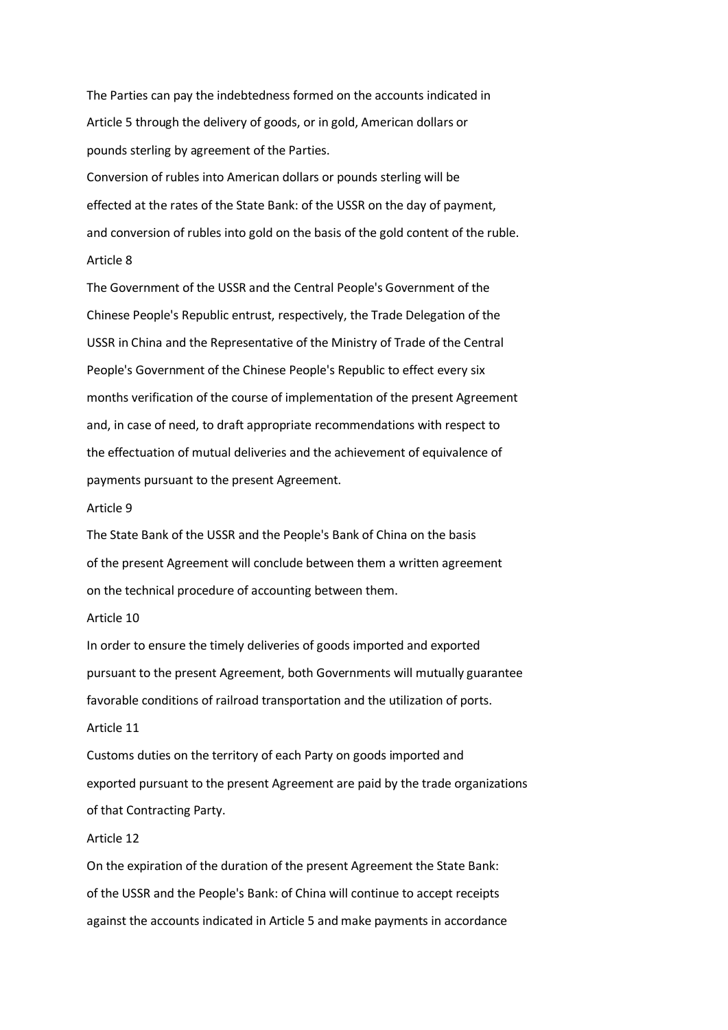The Parties can pay the indebtedness formed on the accounts indicated in Article 5 through the delivery of goods, or in gold, American dollars or pounds sterling by agreement of the Parties.

Conversion of rubles into American dollars or pounds sterling will be effected at the rates of the State Bank: of the USSR on the day of payment, and conversion of rubles into gold on the basis of the gold content of the ruble. Article 8

The Government of the USSR and the Central People's Government of the Chinese People's Republic entrust, respectively, the Trade Delegation of the USSR in China and the Representative of the Ministry of Trade of the Central People's Government of the Chinese People's Republic to effect every six months verification of the course of implementation of the present Agreement and, in case of need, to draft appropriate recommendations with respect to the effectuation of mutual deliveries and the achievement of equivalence of payments pursuant to the present Agreement.

#### Article 9

The State Bank of the USSR and the People's Bank of China on the basis of the present Agreement will conclude between them a written agreement on the technical procedure of accounting between them.

#### Article 10

Article 11

In order to ensure the timely deliveries of goods imported and exported pursuant to the present Agreement, both Governments will mutually guarantee favorable conditions of railroad transportation and the utilization of ports.

Customs duties on the territory of each Party on goods imported and exported pursuant to the present Agreement are paid by the trade organizations of that Contracting Party.

### Article 12

On the expiration of the duration of the present Agreement the State Bank: of the USSR and the People's Bank: of China will continue to accept receipts against the accounts indicated in Article 5 and make payments in accordance